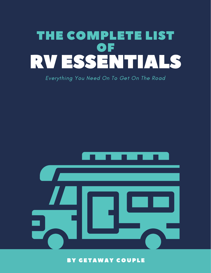

#### Everything You Need On To Get On The Road



BY GETAWAY COUPLE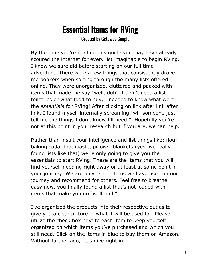## Essential Items for RVing

Created by Getaway Couple

By the time you're reading this guide you may have already scoured the internet for every list imaginable to begin RVing. I know we sure did before starting on our full time adventure. There were a few things that consistently drove me bonkers when sorting through the many lists offered online. They were unorganized, cluttered and packed with items that made me say "well, duh". I didn't need a list of toiletries or what food to buy, I needed to know what were the *essentials* for RVing! After clicking on link after link after link, I found myself internally screaming "will someone just tell me the things I don't know I'll need!". Hopefully you're not at this point in your research but if you are, we can help.

Rather than insult your intelligence and list things like: flour, baking soda, toothpaste, pillows, blankets (yes, we really found lists like that) we're only going to give you the essentials to start RVing. These are the items that you will find yourself needing right away or at least at some point in your journey. We are only listing items we have used on our journey and recommend for others. Feel free to breathe easy now, you finally found a list that's not loaded with items that make you go "well, duh".

I've organized the products into their respective duties to give you a clear picture of what it will be used for. Please utilize the check box next to each item to keep yourself organized on which items you've purchased and which you still need. Click on the items in blue to buy them on Amazon. Without further ado, let's dive right in!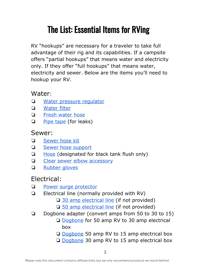# The List: Essential Items for RVing

RV "hookups" are necessary for a traveler to take full advantage of their rig and its capabilities. If a campsite offers "partial hookups" that means water and electricity only. If they offer "full hookups" that means water, electricity and sewer. Below are the items you'll need to hookup your RV.

### Water:

- ❏ Water pressure [regulator](http://amzn.to/2mkEvv1)
- ❏ [Water](http://amzn.to/2Dm4oCE) filter
- ❏ Fresh [water](http://amzn.to/2FsmrI5) hose
- ❏ Pipe [tape](http://amzn.to/2Basb67) (for leaks)

#### Sewer:

- ❏ [Sewer](http://amzn.to/2DnJfbh) hose kit
- ❏ Sewer hose [support](http://amzn.to/2D6FlFY)
- ❏ [Hose](http://amzn.to/2qWQ6WB) (designated for black tank flush only)
- ❏ Clear sewer elbow [accessory](http://amzn.to/2Ex7h35)
- ❏ [Rubber](http://amzn.to/2Do6JND) gloves

## Electrical:

- ❏ Power surge [protector](http://amzn.to/2rdqdlK)
- ❏ Electrical line (normally provided with RV)
	- **□ 30 amp [electrical](http://amzn.to/2FtPwCU) line (if not provided)**
	- ❏ 50 amp [electrical](http://amzn.to/2qWanvx) line (if not provided)
- ❏ Dogbone adapter (convert amps from 50 to 30 to 15)
	- ❏ [Dogbone](http://amzn.to/2FqPlIJ) for 50 amp RV to 30 amp electrical box
	- ❏ [Dogbone](http://amzn.to/2DkMb8B) 50 amp RV to 15 amp electrical box
	- ❏ [Dogbone](http://amzn.to/2qXJHKL) 30 amp RV to 15 amp electrical box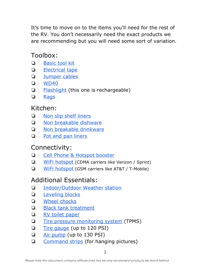It's time to move on to the items you'll need for the rest of the RV. You don't necessarily need the exact products we are recommending but you will need some sort of variation.

## Toolbox:

- ❏ [Basic](http://amzn.to/2FL5TuW) tool kit
- ❏ [Electrical](http://amzn.to/2FN4lR9) tape
- ❏ [Jumper](http://amzn.to/2FNsOpy) cables
- ❏ [WD40](http://amzn.to/2Ba4ieU)
- **□** [Flashlight](http://amzn.to/2DfrSsg) (this one is rechargeable)
- ❏ [Rags](http://amzn.to/2Dfs5M4)

#### Kitchen:

- ❏ Non slip shelf [liners](http://amzn.to/2FLX302)
- ❏ Non [breakable](http://amzn.to/2rfOCXz) dishware
- ❏ Non breakable [drinkware](http://amzn.to/2DdXbUw)
- □ Pot and pan [liners](http://amzn.to/2EP1BBq)

## Connectivity:

- ❏ Cell Phone & [Hotspot](http://amzn.to/2CUdPrW) booster
- ❏ WiFi [hotspot](http://amzn.to/2DNR50J) (CDMA carriers like Verizon / Sprint)
- ❏ WiFi [hotspot](http://amzn.to/2DF0G6N) (GSM carriers like AT&T / T-Mobile)

## Additional Essentials:

- ❏ [Indoor/Outdoor](http://amzn.to/2EcQ6Vq) Weather station
- ❏ [Leveling](http://amzn.to/2CT24Sx) blocks
- ❏ Wheel [chocks](http://amzn.to/2Fvh6zA)
- ❏ Black tank [treatment](http://amzn.to/2D3dW7V)
- ❏ RV toilet [paper](http://amzn.to/2CT1tQU)
- ❏ Tire pressure [monitoring](http://amzn.to/2CVlSEW) system (TPMS)
- ❏ Tire [gauge](http://amzn.to/2mGsG2w) (up to 120 PSI)
- ❏ Air [pump](http://amzn.to/2mk9WFL) (up to 130 PSI)
- ❏ [Command](http://amzn.to/2EQBLgE) strips (for hanging pictures)